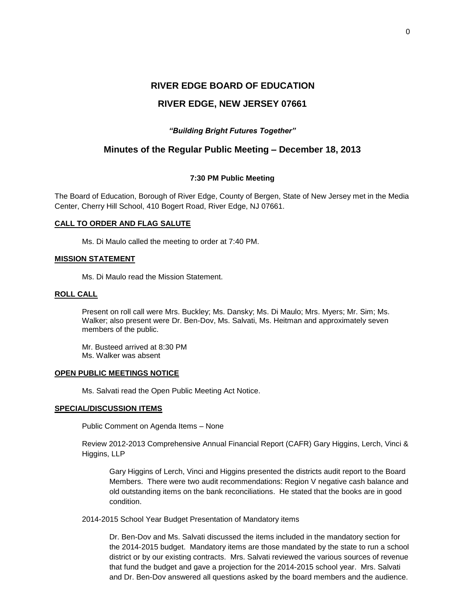## **RIVER EDGE, NEW JERSEY 07661**

### *"Building Bright Futures Together"*

### **Minutes of the Regular Public Meeting – December 18, 2013**

#### **7:30 PM Public Meeting**

The Board of Education, Borough of River Edge, County of Bergen, State of New Jersey met in the Media Center, Cherry Hill School, 410 Bogert Road, River Edge, NJ 07661.

### **CALL TO ORDER AND FLAG SALUTE**

Ms. Di Maulo called the meeting to order at 7:40 PM.

#### **MISSION STATEMENT**

Ms. Di Maulo read the Mission Statement.

### **ROLL CALL**

Present on roll call were Mrs. Buckley; Ms. Dansky; Ms. Di Maulo; Mrs. Myers; Mr. Sim; Ms. Walker; also present were Dr. Ben-Dov, Ms. Salvati, Ms. Heitman and approximately seven members of the public.

Mr. Busteed arrived at 8:30 PM Ms. Walker was absent

#### **OPEN PUBLIC MEETINGS NOTICE**

Ms. Salvati read the Open Public Meeting Act Notice.

### **SPECIAL/DISCUSSION ITEMS**

Public Comment on Agenda Items – None

Review 2012-2013 Comprehensive Annual Financial Report (CAFR) Gary Higgins, Lerch, Vinci & Higgins, LLP

Gary Higgins of Lerch, Vinci and Higgins presented the districts audit report to the Board Members. There were two audit recommendations: Region V negative cash balance and old outstanding items on the bank reconciliations. He stated that the books are in good condition.

2014-2015 School Year Budget Presentation of Mandatory items

Dr. Ben-Dov and Ms. Salvati discussed the items included in the mandatory section for the 2014-2015 budget. Mandatory items are those mandated by the state to run a school district or by our existing contracts. Mrs. Salvati reviewed the various sources of revenue that fund the budget and gave a projection for the 2014-2015 school year. Mrs. Salvati and Dr. Ben-Dov answered all questions asked by the board members and the audience.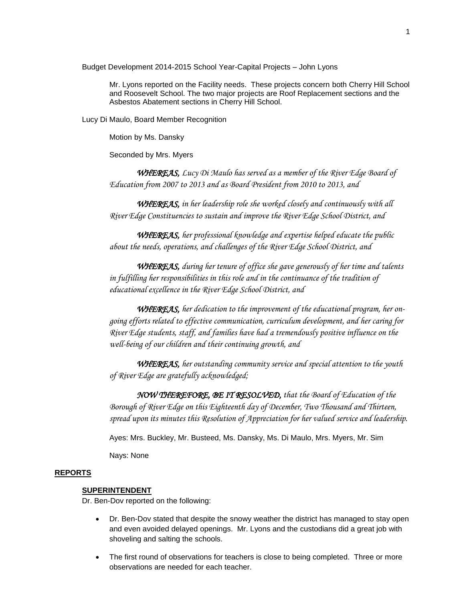Budget Development 2014-2015 School Year-Capital Projects – John Lyons

Mr. Lyons reported on the Facility needs. These projects concern both Cherry Hill School and Roosevelt School. The two major projects are Roof Replacement sections and the Asbestos Abatement sections in Cherry Hill School.

Lucy Di Maulo, Board Member Recognition

Motion by Ms. Dansky

Seconded by Mrs. Myers

*WHEREAS, Lucy Di Maulo has served as a member of the River Edge Board of Education from 2007 to 2013 and as Board President from 2010 to 2013, and* 

*WHEREAS, in her leadership role she worked closely and continuously with all River Edge Constituencies to sustain and improve the River Edge School District, and*

*WHEREAS, her professional knowledge and expertise helped educate the public about the needs, operations, and challenges of the River Edge School District, and*

*WHEREAS, during her tenure of office she gave generously of her time and talents in fulfilling her responsibilities in this role and in the continuance of the tradition of educational excellence in the River Edge School District, and*

*WHEREAS, her dedication to the improvement of the educational program, her ongoing efforts related to effective communication, curriculum development, and her caring for River Edge students, staff, and families have had a tremendously positive influence on the well-being of our children and their continuing growth, and*

*WHEREAS, her outstanding community service and special attention to the youth of River Edge are gratefully acknowledged;*

*NOW THEREFORE, BE IT RESOLVED, that the Board of Education of the Borough of River Edge on this Eighteenth day of December, Two Thousand and Thirteen, spread upon its minutes this Resolution of Appreciation for her valued service and leadership.*

Ayes: Mrs. Buckley, Mr. Busteed, Ms. Dansky, Ms. Di Maulo, Mrs. Myers, Mr. Sim

Nays: None

#### **REPORTS**

#### **SUPERINTENDENT**

Dr. Ben-Dov reported on the following:

- Dr. Ben-Dov stated that despite the snowy weather the district has managed to stay open and even avoided delayed openings. Mr. Lyons and the custodians did a great job with shoveling and salting the schools.
- The first round of observations for teachers is close to being completed. Three or more observations are needed for each teacher.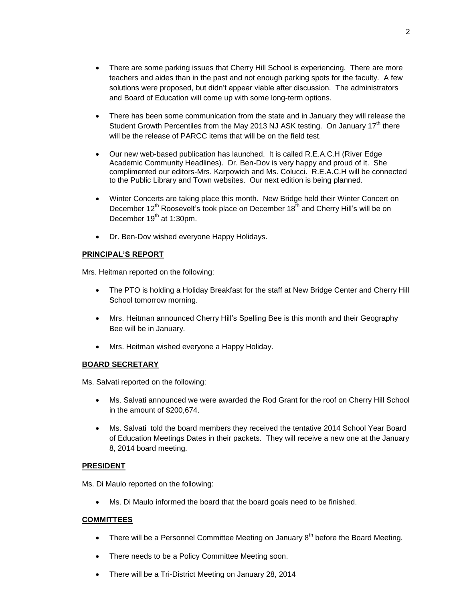- There has been some communication from the state and in January they will release the Student Growth Percentiles from the May 2013 NJ ASK testing. On January  $17<sup>th</sup>$  there will be the release of PARCC items that will be on the field test.
- Our new web-based publication has launched. It is called R.E.A.C.H (River Edge Academic Community Headlines). Dr. Ben-Dov is very happy and proud of it. She complimented our editors-Mrs. Karpowich and Ms. Colucci. R.E.A.C.H will be connected to the Public Library and Town websites. Our next edition is being planned.
- Winter Concerts are taking place this month. New Bridge held their Winter Concert on December  $12^{th}$  Roosevelt's took place on December  $18^{th}$  and Cherry Hill's will be on December 19<sup>th</sup> at 1:30pm.
- Dr. Ben-Dov wished everyone Happy Holidays.

# **PRINCIPAL'S REPORT**

Mrs. Heitman reported on the following:

- The PTO is holding a Holiday Breakfast for the staff at New Bridge Center and Cherry Hill School tomorrow morning.
- Mrs. Heitman announced Cherry Hill's Spelling Bee is this month and their Geography Bee will be in January.
- Mrs. Heitman wished everyone a Happy Holiday.

### **BOARD SECRETARY**

Ms. Salvati reported on the following:

- Ms. Salvati announced we were awarded the Rod Grant for the roof on Cherry Hill School in the amount of \$200,674.
- Ms. Salvati told the board members they received the tentative 2014 School Year Board of Education Meetings Dates in their packets. They will receive a new one at the January 8, 2014 board meeting.

### **PRESIDENT**

Ms. Di Maulo reported on the following:

Ms. Di Maulo informed the board that the board goals need to be finished.

### **COMMITTEES**

- There will be a Personnel Committee Meeting on January  $8<sup>th</sup>$  before the Board Meeting.
- There needs to be a Policy Committee Meeting soon.
- There will be a Tri-District Meeting on January 28, 2014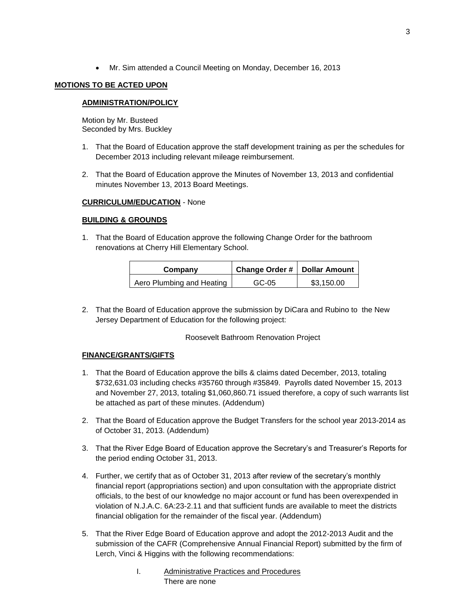Mr. Sim attended a Council Meeting on Monday, December 16, 2013

### **MOTIONS TO BE ACTED UPON**

### **ADMINISTRATION/POLICY**

Motion by Mr. Busteed Seconded by Mrs. Buckley

- 1. That the Board of Education approve the staff development training as per the schedules for December 2013 including relevant mileage reimbursement.
- 2. That the Board of Education approve the Minutes of November 13, 2013 and confidential minutes November 13, 2013 Board Meetings.

### **CURRICULUM/EDUCATION** - None

### **BUILDING & GROUNDS**

1. That the Board of Education approve the following Change Order for the bathroom renovations at Cherry Hill Elementary School.

| Company                   | Change Order #   Dollar Amount |            |
|---------------------------|--------------------------------|------------|
| Aero Plumbing and Heating | GC-05                          | \$3.150.00 |

2. That the Board of Education approve the submission by DiCara and Rubino to the New Jersey Department of Education for the following project:

Roosevelt Bathroom Renovation Project

### **FINANCE/GRANTS/GIFTS**

- 1. That the Board of Education approve the bills & claims dated December, 2013, totaling \$732,631.03 including checks #35760 through #35849. Payrolls dated November 15, 2013 and November 27, 2013, totaling \$1,060,860.71 issued therefore, a copy of such warrants list be attached as part of these minutes. (Addendum)
- 2. That the Board of Education approve the Budget Transfers for the school year 2013-2014 as of October 31, 2013. (Addendum)
- 3. That the River Edge Board of Education approve the Secretary's and Treasurer's Reports for the period ending October 31, 2013.
- 4. Further, we certify that as of October 31, 2013 after review of the secretary's monthly financial report (appropriations section) and upon consultation with the appropriate district officials, to the best of our knowledge no major account or fund has been overexpended in violation of N.J.A.C. 6A:23-2.11 and that sufficient funds are available to meet the districts financial obligation for the remainder of the fiscal year. (Addendum)
- 5. That the River Edge Board of Education approve and adopt the 2012-2013 Audit and the submission of the CAFR (Comprehensive Annual Financial Report) submitted by the firm of Lerch, Vinci & Higgins with the following recommendations:
	- I. Administrative Practices and Procedures There are none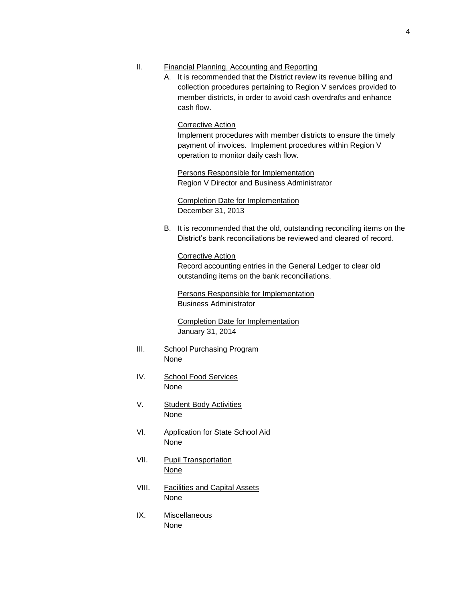### II. Financial Planning, Accounting and Reporting

A. It is recommended that the District review its revenue billing and collection procedures pertaining to Region V services provided to member districts, in order to avoid cash overdrafts and enhance cash flow.

### Corrective Action

Implement procedures with member districts to ensure the timely payment of invoices. Implement procedures within Region V operation to monitor daily cash flow.

Persons Responsible for Implementation Region V Director and Business Administrator

Completion Date for Implementation December 31, 2013

B. It is recommended that the old, outstanding reconciling items on the District's bank reconciliations be reviewed and cleared of record.

Corrective Action Record accounting entries in the General Ledger to clear old outstanding items on the bank reconciliations.

Persons Responsible for Implementation Business Administrator

Completion Date for Implementation January 31, 2014

- III. School Purchasing Program None
- IV. School Food Services None
- V. Student Body Activities None
- VI. Application for State School Aid None
- VII. Pupil Transportation **None**
- VIII. Facilities and Capital Assets None
- IX. Miscellaneous None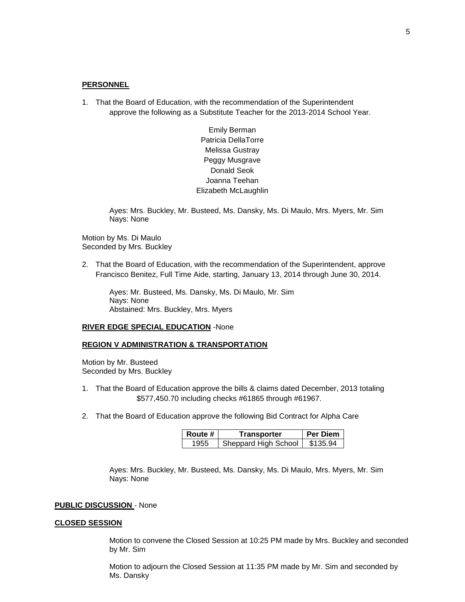#### **PERSONNEL**

1. That the Board of Education, with the recommendation of the Superintendent approve the following as a Substitute Teacher for the 2013-2014 School Year.

> Emily Berman Patricia DellaTorre Melissa Gustray Peggy Musgrave Donald Seok Joanna Teehan Elizabeth McLaughlin

Ayes: Mrs. Buckley, Mr. Busteed, Ms. Dansky, Ms. Di Maulo, Mrs. Myers, Mr. Sim Nays: None

Motion by Ms. Di Maulo Seconded by Mrs. Buckley

2. That the Board of Education, with the recommendation of the Superintendent, approve Francisco Benitez, Full Time Aide, starting, January 13, 2014 through June 30, 2014.

Ayes: Mr. Busteed, Ms. Dansky, Ms. Di Maulo, Mr. Sim Nays: None Abstained: Mrs. Buckley, Mrs. Myers

#### **RIVER EDGE SPECIAL EDUCATION** -None

### **REGION V ADMINISTRATION & TRANSPORTATION**

Motion by Mr. Busteed Seconded by Mrs. Buckley

- 1. That the Board of Education approve the bills & claims dated December, 2013 totaling \$577,450.70 including checks #61865 through #61967.
- 2. That the Board of Education approve the following Bid Contract for Alpha Care

| Route # | Transporter          | <b>Per Diem</b> |
|---------|----------------------|-----------------|
| 1955    | Sheppard High School | \$135.94        |

Ayes: Mrs. Buckley, Mr. Busteed, Ms. Dansky, Ms. Di Maulo, Mrs. Myers, Mr. Sim Nays: None

#### **PUBLIC DISCUSSION** - None

#### **CLOSED SESSION**

Motion to convene the Closed Session at 10:25 PM made by Mrs. Buckley and seconded by Mr. Sim

Motion to adjourn the Closed Session at 11:35 PM made by Mr. Sim and seconded by Ms. Dansky